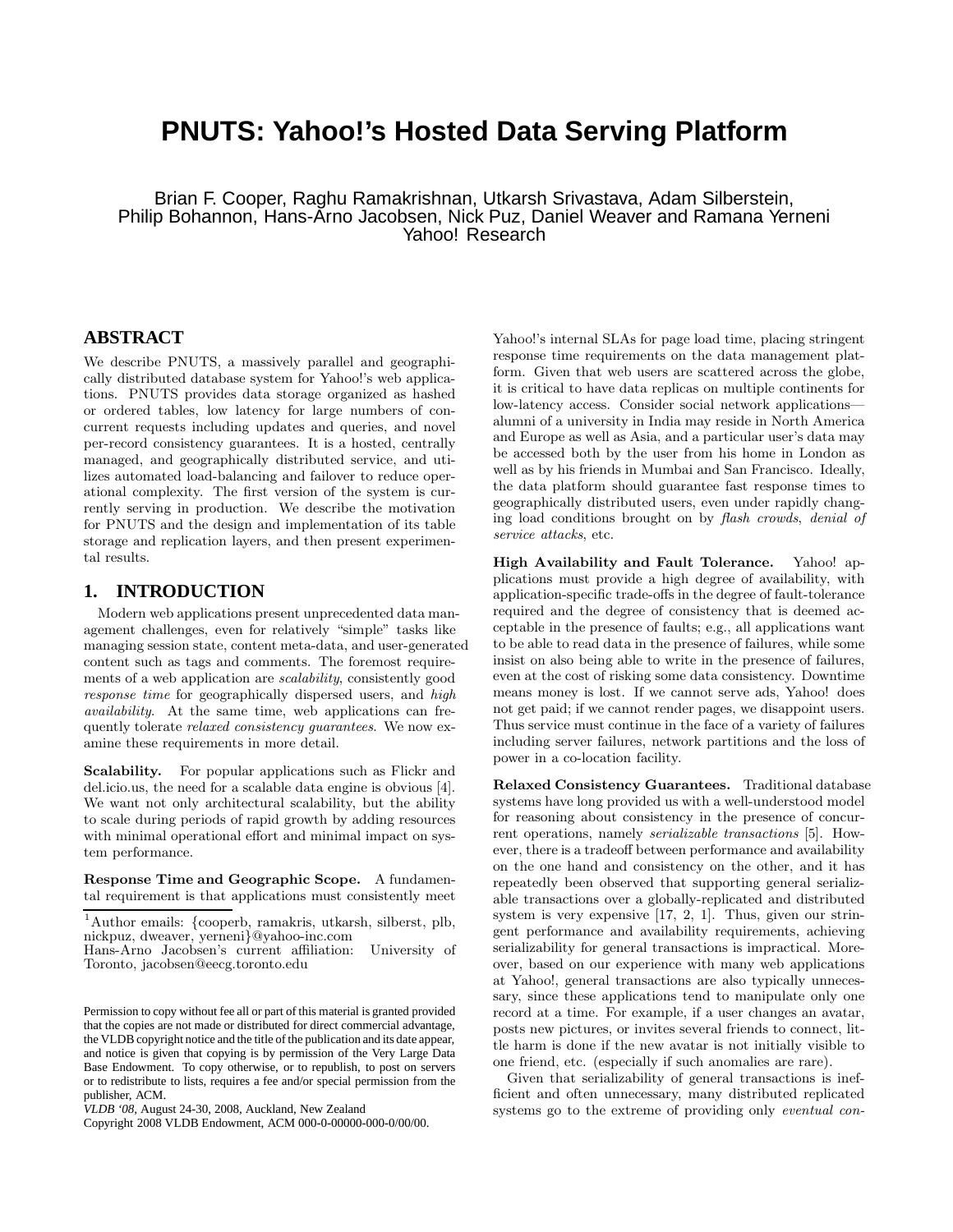# **PNUTS: Yahoo!'s Hosted Data Serving Platform**

Brian F. Cooper, Raghu Ramakrishnan, Utkarsh Srivastava, Adam Silberstein, Philip Bohannon, Hans-Arno Jacobsen, Nick Puz, Daniel Weaver and Ramana Yerneni Yahoo! Research

# **ABSTRACT**

We describe PNUTS, a massively parallel and geographically distributed database system for Yahoo!'s web applications. PNUTS provides data storage organized as hashed or ordered tables, low latency for large numbers of concurrent requests including updates and queries, and novel per-record consistency guarantees. It is a hosted, centrally managed, and geographically distributed service, and utilizes automated load-balancing and failover to reduce operational complexity. The first version of the system is currently serving in production. We describe the motivation for PNUTS and the design and implementation of its table storage and replication layers, and then present experimental results.

# **1. INTRODUCTION**

Modern web applications present unprecedented data management challenges, even for relatively "simple" tasks like managing session state, content meta-data, and user-generated content such as tags and comments. The foremost requirements of a web application are scalability, consistently good response time for geographically dispersed users, and high availability. At the same time, web applications can frequently tolerate relaxed consistency guarantees. We now examine these requirements in more detail.

Scalability. For popular applications such as Flickr and del.icio.us, the need for a scalable data engine is obvious [4]. We want not only architectural scalability, but the ability to scale during periods of rapid growth by adding resources with minimal operational effort and minimal impact on system performance.

Response Time and Geographic Scope. A fundamental requirement is that applications must consistently meet

*VLDB '08,* August 24-30, 2008, Auckland, New Zealand

Copyright 2008 VLDB Endowment, ACM 000-0-00000-000-0/00/00.

Yahoo!'s internal SLAs for page load time, placing stringent response time requirements on the data management platform. Given that web users are scattered across the globe, it is critical to have data replicas on multiple continents for low-latency access. Consider social network applications alumni of a university in India may reside in North America and Europe as well as Asia, and a particular user's data may be accessed both by the user from his home in London as well as by his friends in Mumbai and San Francisco. Ideally, the data platform should guarantee fast response times to geographically distributed users, even under rapidly changing load conditions brought on by flash crowds, denial of service attacks, etc.

High Availability and Fault Tolerance. Yahoo! applications must provide a high degree of availability, with application-specific trade-offs in the degree of fault-tolerance required and the degree of consistency that is deemed acceptable in the presence of faults; e.g., all applications want to be able to read data in the presence of failures, while some insist on also being able to write in the presence of failures, even at the cost of risking some data consistency. Downtime means money is lost. If we cannot serve ads, Yahoo! does not get paid; if we cannot render pages, we disappoint users. Thus service must continue in the face of a variety of failures including server failures, network partitions and the loss of power in a co-location facility.

Relaxed Consistency Guarantees. Traditional database systems have long provided us with a well-understood model for reasoning about consistency in the presence of concurrent operations, namely serializable transactions [5]. However, there is a tradeoff between performance and availability on the one hand and consistency on the other, and it has repeatedly been observed that supporting general serializable transactions over a globally-replicated and distributed system is very expensive [17, 2, 1]. Thus, given our stringent performance and availability requirements, achieving serializability for general transactions is impractical. Moreover, based on our experience with many web applications at Yahoo!, general transactions are also typically unnecessary, since these applications tend to manipulate only one record at a time. For example, if a user changes an avatar, posts new pictures, or invites several friends to connect, little harm is done if the new avatar is not initially visible to one friend, etc. (especially if such anomalies are rare).

Given that serializability of general transactions is inefficient and often unnecessary, many distributed replicated systems go to the extreme of providing only eventual con-

<sup>1</sup>Author emails: {cooperb, ramakris, utkarsh, silberst, plb, nickpuz, dweaver, yerneni}@yahoo-inc.com

Hans-Arno Jacobsen's current affiliation: University of Toronto, jacobsen@eecg.toronto.edu

Permission to copy without fee all or part of this material is granted provided that the copies are not made or distributed for direct commercial advantage, the VLDB copyright notice and the title of the publication and its date appear, and notice is given that copying is by permission of the Very Large Data Base Endowment. To copy otherwise, or to republish, to post on servers or to redistribute to lists, requires a fee and/or special permission from the publisher, ACM.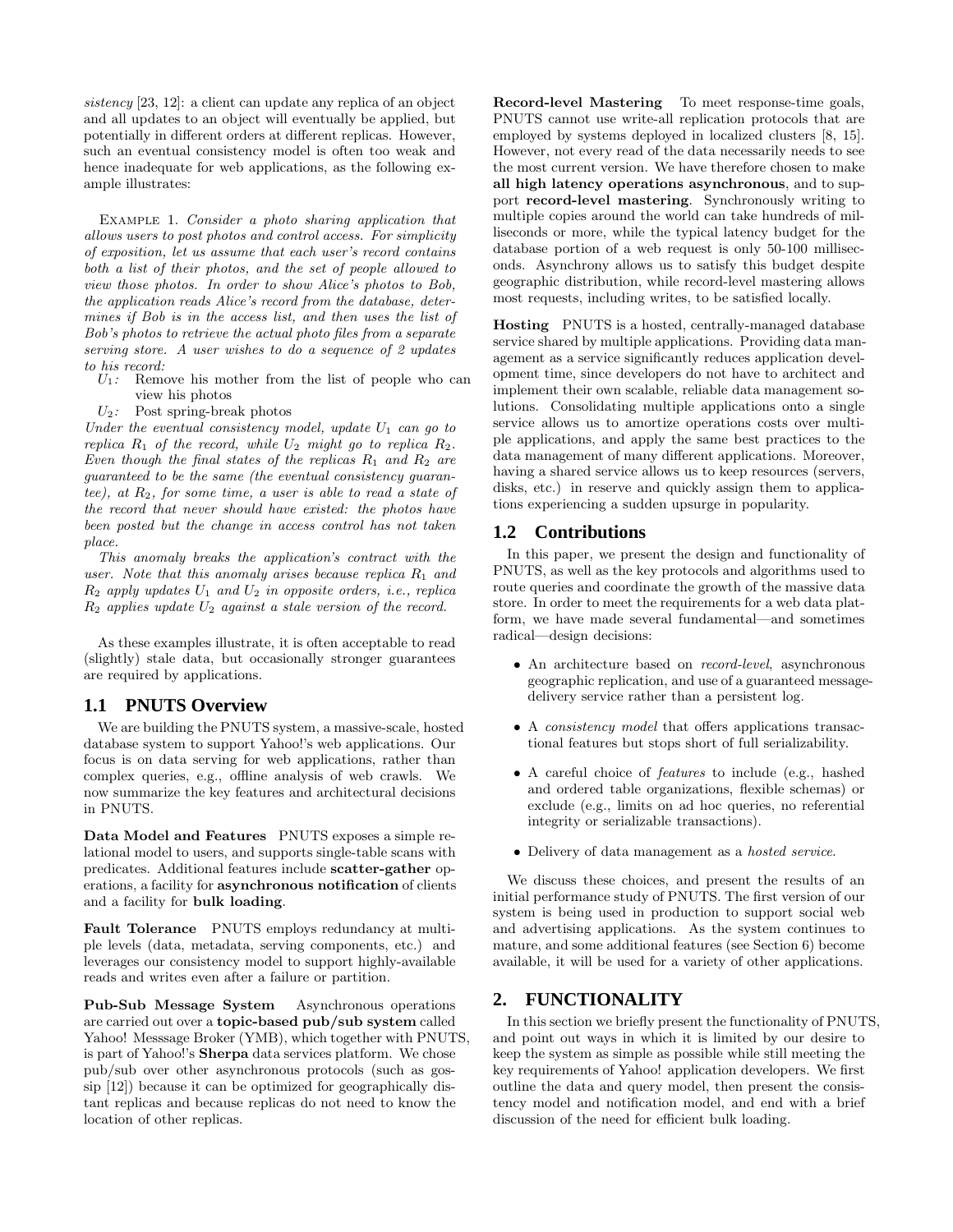sistency [23, 12]: a client can update any replica of an object and all updates to an object will eventually be applied, but potentially in different orders at different replicas. However, such an eventual consistency model is often too weak and hence inadequate for web applications, as the following example illustrates:

Example 1. Consider a photo sharing application that allows users to post photos and control access. For simplicity of exposition, let us assume that each user's record contains both a list of their photos, and the set of people allowed to view those photos. In order to show Alice's photos to Bob, the application reads Alice's record from the database, determines if Bob is in the access list, and then uses the list of Bob's photos to retrieve the actual photo files from a separate serving store. A user wishes to do a sequence of 2 updates to his record:

- $U_1$ : Remove his mother from the list of people who can view his photos
- $U_2$ : Post spring-break photos

Under the eventual consistency model, update  $U_1$  can go to replica  $R_1$  of the record, while  $U_2$  might go to replica  $R_2$ . Even though the final states of the replicas  $R_1$  and  $R_2$  are guaranteed to be the same (the eventual consistency guarantee), at  $R_2$ , for some time, a user is able to read a state of the record that never should have existed: the photos have been posted but the change in access control has not taken place.

This anomaly breaks the application's contract with the user. Note that this anomaly arises because replica  $R_1$  and  $R_2$  apply updates  $U_1$  and  $U_2$  in opposite orders, i.e., replica  $R_2$  applies update  $U_2$  against a stale version of the record.

As these examples illustrate, it is often acceptable to read (slightly) stale data, but occasionally stronger guarantees are required by applications.

# **1.1 PNUTS Overview**

We are building the PNUTS system, a massive-scale, hosted database system to support Yahoo!'s web applications. Our focus is on data serving for web applications, rather than complex queries, e.g., offline analysis of web crawls. We now summarize the key features and architectural decisions in PNUTS.

Data Model and Features PNUTS exposes a simple relational model to users, and supports single-table scans with predicates. Additional features include scatter-gather operations, a facility for asynchronous notification of clients and a facility for bulk loading.

Fault Tolerance PNUTS employs redundancy at multiple levels (data, metadata, serving components, etc.) and leverages our consistency model to support highly-available reads and writes even after a failure or partition.

Pub-Sub Message System Asynchronous operations are carried out over a topic-based pub/sub system called Yahoo! Messsage Broker (YMB), which together with PNUTS, is part of Yahoo!'s Sherpa data services platform. We chose pub/sub over other asynchronous protocols (such as gossip [12]) because it can be optimized for geographically distant replicas and because replicas do not need to know the location of other replicas.

Record-level Mastering To meet response-time goals, PNUTS cannot use write-all replication protocols that are employed by systems deployed in localized clusters [8, 15]. However, not every read of the data necessarily needs to see the most current version. We have therefore chosen to make all high latency operations asynchronous, and to support record-level mastering. Synchronously writing to multiple copies around the world can take hundreds of milliseconds or more, while the typical latency budget for the database portion of a web request is only 50-100 milliseconds. Asynchrony allows us to satisfy this budget despite geographic distribution, while record-level mastering allows most requests, including writes, to be satisfied locally.

Hosting PNUTS is a hosted, centrally-managed database service shared by multiple applications. Providing data management as a service significantly reduces application development time, since developers do not have to architect and implement their own scalable, reliable data management solutions. Consolidating multiple applications onto a single service allows us to amortize operations costs over multiple applications, and apply the same best practices to the data management of many different applications. Moreover, having a shared service allows us to keep resources (servers, disks, etc.) in reserve and quickly assign them to applications experiencing a sudden upsurge in popularity.

# **1.2 Contributions**

In this paper, we present the design and functionality of PNUTS, as well as the key protocols and algorithms used to route queries and coordinate the growth of the massive data store. In order to meet the requirements for a web data platform, we have made several fundamental—and sometimes radical—design decisions:

- An architecture based on *record-level*, asynchronous geographic replication, and use of a guaranteed messagedelivery service rather than a persistent log.
- A *consistency model* that offers applications transactional features but stops short of full serializability.
- A careful choice of features to include (e.g., hashed and ordered table organizations, flexible schemas) or exclude (e.g., limits on ad hoc queries, no referential integrity or serializable transactions).
- Delivery of data management as a *hosted service*.

We discuss these choices, and present the results of an initial performance study of PNUTS. The first version of our system is being used in production to support social web and advertising applications. As the system continues to mature, and some additional features (see Section 6) become available, it will be used for a variety of other applications.

# **2. FUNCTIONALITY**

In this section we briefly present the functionality of PNUTS, and point out ways in which it is limited by our desire to keep the system as simple as possible while still meeting the key requirements of Yahoo! application developers. We first outline the data and query model, then present the consistency model and notification model, and end with a brief discussion of the need for efficient bulk loading.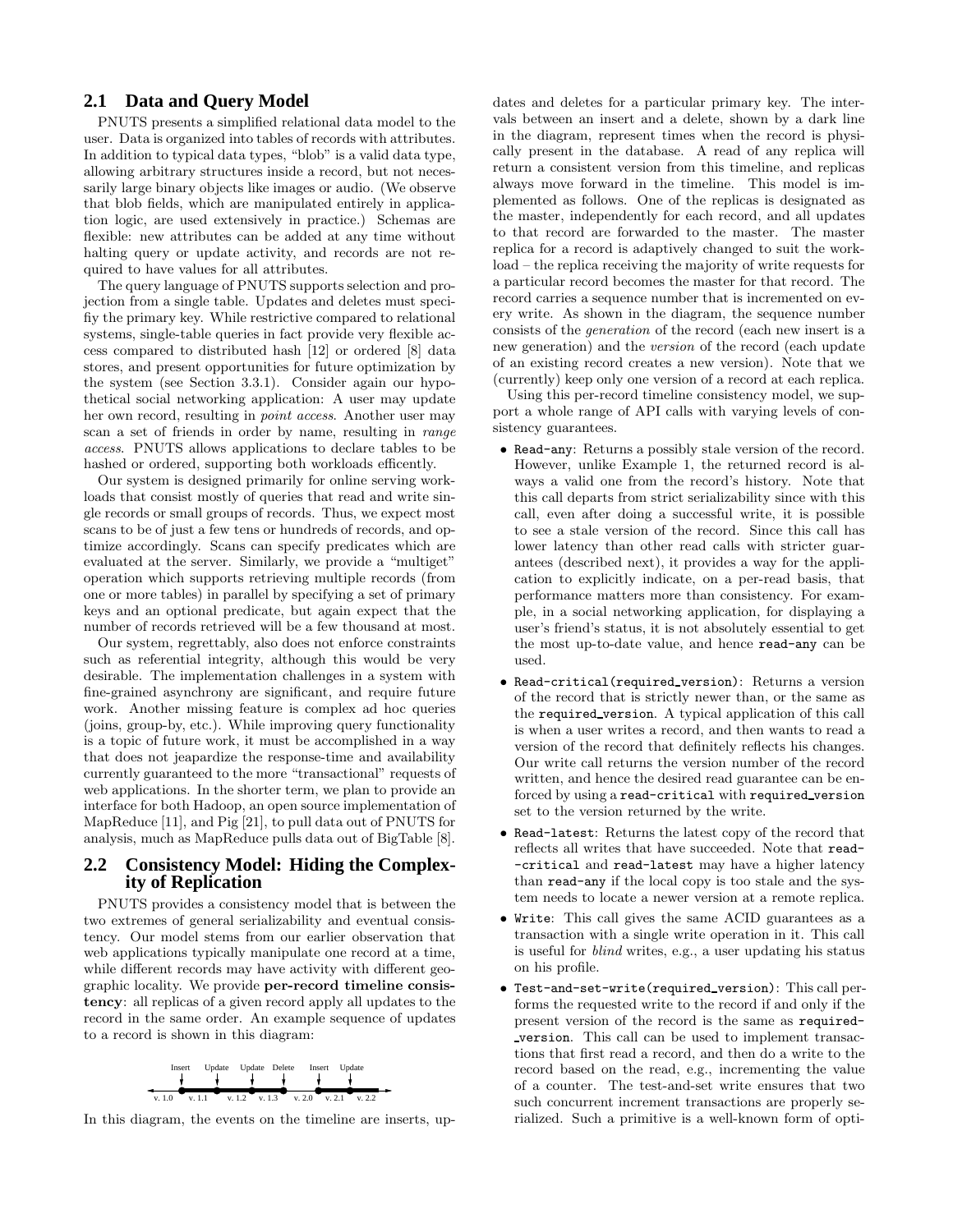# **2.1 Data and Query Model**

PNUTS presents a simplified relational data model to the user. Data is organized into tables of records with attributes. In addition to typical data types, "blob" is a valid data type, allowing arbitrary structures inside a record, but not necessarily large binary objects like images or audio. (We observe that blob fields, which are manipulated entirely in application logic, are used extensively in practice.) Schemas are flexible: new attributes can be added at any time without halting query or update activity, and records are not required to have values for all attributes.

The query language of PNUTS supports selection and projection from a single table. Updates and deletes must specifiy the primary key. While restrictive compared to relational systems, single-table queries in fact provide very flexible access compared to distributed hash [12] or ordered [8] data stores, and present opportunities for future optimization by the system (see Section 3.3.1). Consider again our hypothetical social networking application: A user may update her own record, resulting in point access. Another user may scan a set of friends in order by name, resulting in range access. PNUTS allows applications to declare tables to be hashed or ordered, supporting both workloads efficently.

Our system is designed primarily for online serving workloads that consist mostly of queries that read and write single records or small groups of records. Thus, we expect most scans to be of just a few tens or hundreds of records, and optimize accordingly. Scans can specify predicates which are evaluated at the server. Similarly, we provide a "multiget" operation which supports retrieving multiple records (from one or more tables) in parallel by specifying a set of primary keys and an optional predicate, but again expect that the number of records retrieved will be a few thousand at most.

Our system, regrettably, also does not enforce constraints such as referential integrity, although this would be very desirable. The implementation challenges in a system with fine-grained asynchrony are significant, and require future work. Another missing feature is complex ad hoc queries (joins, group-by, etc.). While improving query functionality is a topic of future work, it must be accomplished in a way that does not jeapardize the response-time and availability currently guaranteed to the more "transactional" requests of web applications. In the shorter term, we plan to provide an interface for both Hadoop, an open source implementation of MapReduce [11], and Pig [21], to pull data out of PNUTS for analysis, much as MapReduce pulls data out of BigTable [8].

# **2.2 Consistency Model: Hiding the Complexity of Replication**

PNUTS provides a consistency model that is between the two extremes of general serializability and eventual consistency. Our model stems from our earlier observation that web applications typically manipulate one record at a time, while different records may have activity with different geographic locality. We provide per-record timeline consistency: all replicas of a given record apply all updates to the record in the same order. An example sequence of updates to a record is shown in this diagram:

Update v. 1.0 v. 1.2 v. 1.3 v. 2.0 v. 2.2 v. 1.1 v. 2.1 Insert Insert Update Update Delete

In this diagram, the events on the timeline are inserts, up-

dates and deletes for a particular primary key. The intervals between an insert and a delete, shown by a dark line in the diagram, represent times when the record is physically present in the database. A read of any replica will return a consistent version from this timeline, and replicas always move forward in the timeline. This model is implemented as follows. One of the replicas is designated as the master, independently for each record, and all updates to that record are forwarded to the master. The master replica for a record is adaptively changed to suit the workload – the replica receiving the majority of write requests for a particular record becomes the master for that record. The record carries a sequence number that is incremented on every write. As shown in the diagram, the sequence number consists of the generation of the record (each new insert is a new generation) and the version of the record (each update of an existing record creates a new version). Note that we (currently) keep only one version of a record at each replica.

Using this per-record timeline consistency model, we support a whole range of API calls with varying levels of consistency guarantees.

- Read-any: Returns a possibly stale version of the record. However, unlike Example 1, the returned record is always a valid one from the record's history. Note that this call departs from strict serializability since with this call, even after doing a successful write, it is possible to see a stale version of the record. Since this call has lower latency than other read calls with stricter guarantees (described next), it provides a way for the application to explicitly indicate, on a per-read basis, that performance matters more than consistency. For example, in a social networking application, for displaying a user's friend's status, it is not absolutely essential to get the most up-to-date value, and hence read-any can be used.
- Read-critical(required version): Returns a version of the record that is strictly newer than, or the same as the required version. A typical application of this call is when a user writes a record, and then wants to read a version of the record that definitely reflects his changes. Our write call returns the version number of the record written, and hence the desired read guarantee can be enforced by using a read-critical with required version set to the version returned by the write.
- Read-latest: Returns the latest copy of the record that reflects all writes that have succeeded. Note that read- -critical and read-latest may have a higher latency than read-any if the local copy is too stale and the system needs to locate a newer version at a remote replica.
- Write: This call gives the same ACID guarantees as a transaction with a single write operation in it. This call is useful for blind writes, e.g., a user updating his status on his profile.
- Test-and-set-write(required version): This call performs the requested write to the record if and only if the present version of the record is the same as requiredversion. This call can be used to implement transactions that first read a record, and then do a write to the record based on the read, e.g., incrementing the value of a counter. The test-and-set write ensures that two such concurrent increment transactions are properly serialized. Such a primitive is a well-known form of opti-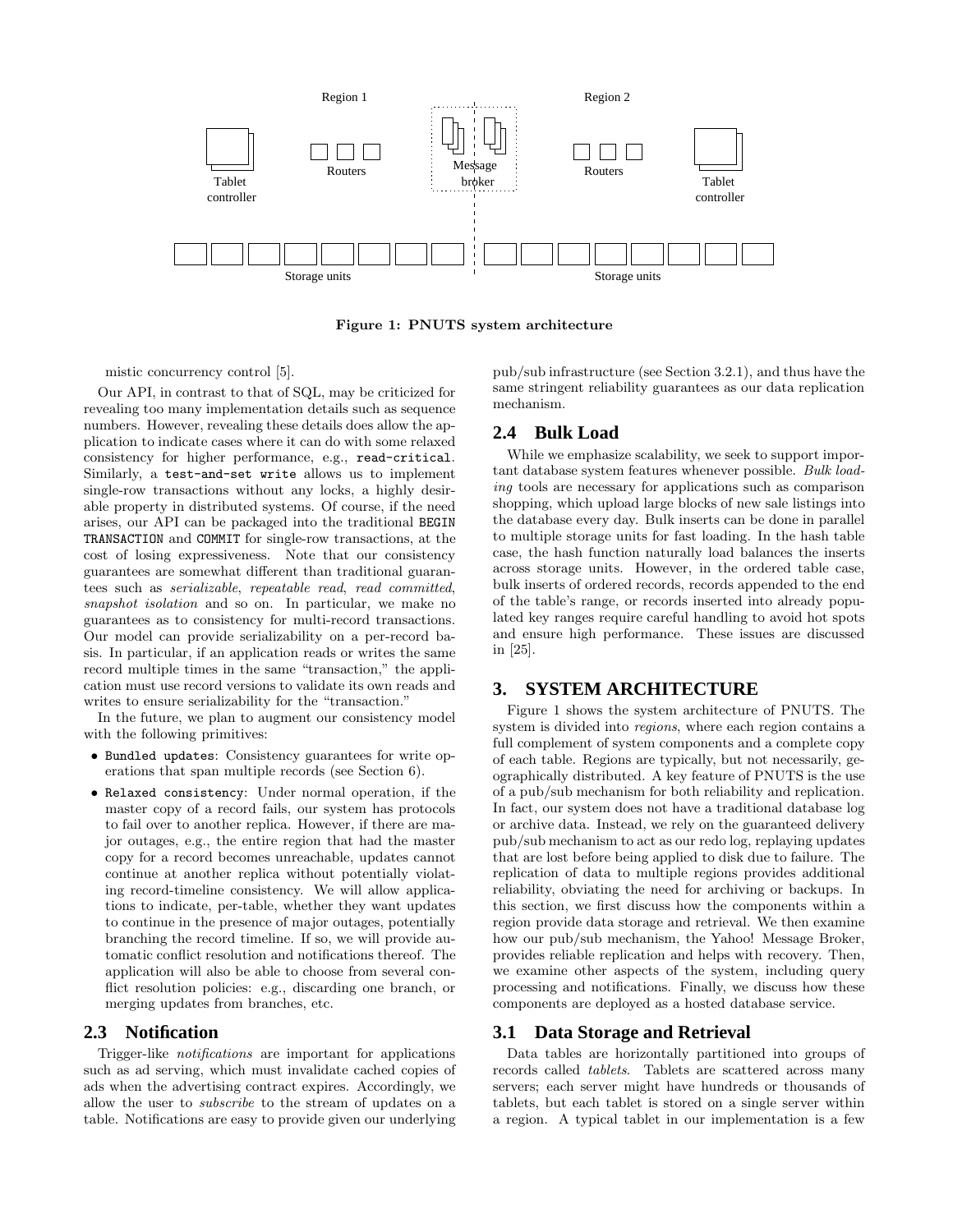

Figure 1: PNUTS system architecture

mistic concurrency control [5].

Our API, in contrast to that of SQL, may be criticized for revealing too many implementation details such as sequence numbers. However, revealing these details does allow the application to indicate cases where it can do with some relaxed consistency for higher performance, e.g., read-critical. Similarly, a test-and-set write allows us to implement single-row transactions without any locks, a highly desirable property in distributed systems. Of course, if the need arises, our API can be packaged into the traditional BEGIN TRANSACTION and COMMIT for single-row transactions, at the cost of losing expressiveness. Note that our consistency guarantees are somewhat different than traditional guarantees such as serializable, repeatable read, read committed, snapshot isolation and so on. In particular, we make no guarantees as to consistency for multi-record transactions. Our model can provide serializability on a per-record basis. In particular, if an application reads or writes the same record multiple times in the same "transaction," the application must use record versions to validate its own reads and writes to ensure serializability for the "transaction."

In the future, we plan to augment our consistency model with the following primitives:

- Bundled updates: Consistency guarantees for write operations that span multiple records (see Section 6).
- Relaxed consistency: Under normal operation, if the master copy of a record fails, our system has protocols to fail over to another replica. However, if there are major outages, e.g., the entire region that had the master copy for a record becomes unreachable, updates cannot continue at another replica without potentially violating record-timeline consistency. We will allow applications to indicate, per-table, whether they want updates to continue in the presence of major outages, potentially branching the record timeline. If so, we will provide automatic conflict resolution and notifications thereof. The application will also be able to choose from several conflict resolution policies: e.g., discarding one branch, or merging updates from branches, etc.

# **2.3 Notification**

Trigger-like notifications are important for applications such as ad serving, which must invalidate cached copies of ads when the advertising contract expires. Accordingly, we allow the user to subscribe to the stream of updates on a table. Notifications are easy to provide given our underlying

pub/sub infrastructure (see Section 3.2.1), and thus have the same stringent reliability guarantees as our data replication mechanism.

# **2.4 Bulk Load**

While we emphasize scalability, we seek to support important database system features whenever possible. Bulk loading tools are necessary for applications such as comparison shopping, which upload large blocks of new sale listings into the database every day. Bulk inserts can be done in parallel to multiple storage units for fast loading. In the hash table case, the hash function naturally load balances the inserts across storage units. However, in the ordered table case, bulk inserts of ordered records, records appended to the end of the table's range, or records inserted into already populated key ranges require careful handling to avoid hot spots and ensure high performance. These issues are discussed in [25].

# **3. SYSTEM ARCHITECTURE**

Figure 1 shows the system architecture of PNUTS. The system is divided into *regions*, where each region contains a full complement of system components and a complete copy of each table. Regions are typically, but not necessarily, geographically distributed. A key feature of PNUTS is the use of a pub/sub mechanism for both reliability and replication. In fact, our system does not have a traditional database log or archive data. Instead, we rely on the guaranteed delivery pub/sub mechanism to act as our redo log, replaying updates that are lost before being applied to disk due to failure. The replication of data to multiple regions provides additional reliability, obviating the need for archiving or backups. In this section, we first discuss how the components within a region provide data storage and retrieval. We then examine how our pub/sub mechanism, the Yahoo! Message Broker, provides reliable replication and helps with recovery. Then, we examine other aspects of the system, including query processing and notifications. Finally, we discuss how these components are deployed as a hosted database service.

# **3.1 Data Storage and Retrieval**

Data tables are horizontally partitioned into groups of records called tablets. Tablets are scattered across many servers; each server might have hundreds or thousands of tablets, but each tablet is stored on a single server within a region. A typical tablet in our implementation is a few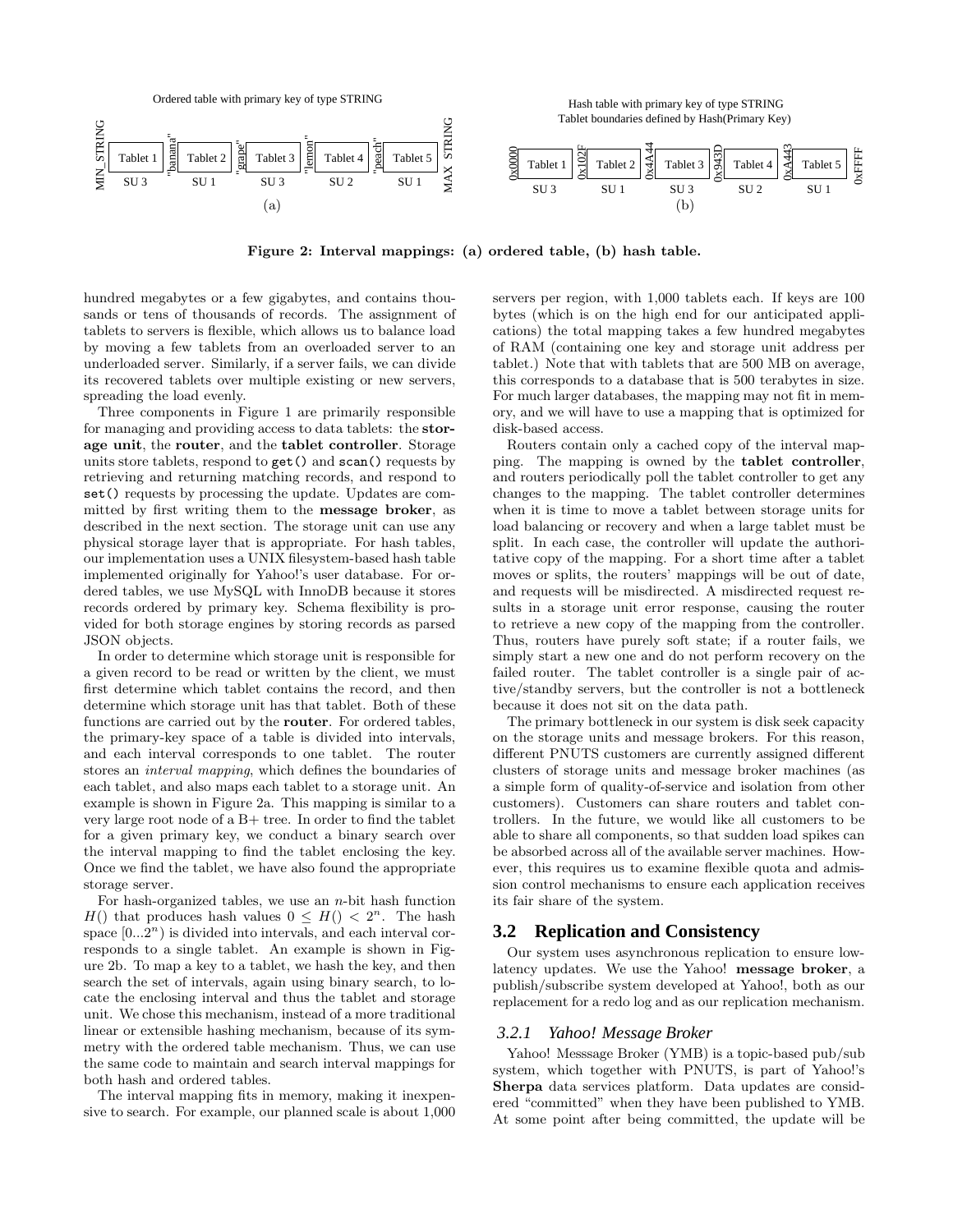Ordered table with primary key of type STRING

Hash table with primary key of type STRING Tablet boundaries defined by Hash(Primary Key)



Figure 2: Interval mappings: (a) ordered table, (b) hash table.

hundred megabytes or a few gigabytes, and contains thousands or tens of thousands of records. The assignment of tablets to servers is flexible, which allows us to balance load by moving a few tablets from an overloaded server to an underloaded server. Similarly, if a server fails, we can divide its recovered tablets over multiple existing or new servers, spreading the load evenly.

Three components in Figure 1 are primarily responsible for managing and providing access to data tablets: the storage unit, the router, and the tablet controller. Storage units store tablets, respond to get() and scan() requests by retrieving and returning matching records, and respond to set() requests by processing the update. Updates are committed by first writing them to the message broker, as described in the next section. The storage unit can use any physical storage layer that is appropriate. For hash tables, our implementation uses a UNIX filesystem-based hash table implemented originally for Yahoo!'s user database. For ordered tables, we use MySQL with InnoDB because it stores records ordered by primary key. Schema flexibility is provided for both storage engines by storing records as parsed JSON objects.

In order to determine which storage unit is responsible for a given record to be read or written by the client, we must first determine which tablet contains the record, and then determine which storage unit has that tablet. Both of these functions are carried out by the router. For ordered tables, the primary-key space of a table is divided into intervals, and each interval corresponds to one tablet. The router stores an interval mapping, which defines the boundaries of each tablet, and also maps each tablet to a storage unit. An example is shown in Figure 2a. This mapping is similar to a very large root node of a B+ tree. In order to find the tablet for a given primary key, we conduct a binary search over the interval mapping to find the tablet enclosing the key. Once we find the tablet, we have also found the appropriate storage server.

For hash-organized tables, we use an  $n$ -bit hash function  $H()$  that produces hash values  $0 \leq H() < 2^n$ . The hash space  $[0...2<sup>n</sup>)$  is divided into intervals, and each interval corresponds to a single tablet. An example is shown in Figure 2b. To map a key to a tablet, we hash the key, and then search the set of intervals, again using binary search, to locate the enclosing interval and thus the tablet and storage unit. We chose this mechanism, instead of a more traditional linear or extensible hashing mechanism, because of its symmetry with the ordered table mechanism. Thus, we can use the same code to maintain and search interval mappings for both hash and ordered tables.

The interval mapping fits in memory, making it inexpensive to search. For example, our planned scale is about 1,000 servers per region, with 1,000 tablets each. If keys are 100 bytes (which is on the high end for our anticipated applications) the total mapping takes a few hundred megabytes of RAM (containing one key and storage unit address per tablet.) Note that with tablets that are 500 MB on average, this corresponds to a database that is 500 terabytes in size. For much larger databases, the mapping may not fit in memory, and we will have to use a mapping that is optimized for disk-based access.

Routers contain only a cached copy of the interval mapping. The mapping is owned by the tablet controller, and routers periodically poll the tablet controller to get any changes to the mapping. The tablet controller determines when it is time to move a tablet between storage units for load balancing or recovery and when a large tablet must be split. In each case, the controller will update the authoritative copy of the mapping. For a short time after a tablet moves or splits, the routers' mappings will be out of date, and requests will be misdirected. A misdirected request results in a storage unit error response, causing the router to retrieve a new copy of the mapping from the controller. Thus, routers have purely soft state; if a router fails, we simply start a new one and do not perform recovery on the failed router. The tablet controller is a single pair of active/standby servers, but the controller is not a bottleneck because it does not sit on the data path.

The primary bottleneck in our system is disk seek capacity on the storage units and message brokers. For this reason, different PNUTS customers are currently assigned different clusters of storage units and message broker machines (as a simple form of quality-of-service and isolation from other customers). Customers can share routers and tablet controllers. In the future, we would like all customers to be able to share all components, so that sudden load spikes can be absorbed across all of the available server machines. However, this requires us to examine flexible quota and admission control mechanisms to ensure each application receives its fair share of the system.

#### **3.2 Replication and Consistency**

Our system uses asynchronous replication to ensure lowlatency updates. We use the Yahoo! message broker, a publish/subscribe system developed at Yahoo!, both as our replacement for a redo log and as our replication mechanism.

#### *3.2.1 Yahoo! Message Broker*

Yahoo! Messsage Broker (YMB) is a topic-based pub/sub system, which together with PNUTS, is part of Yahoo!'s Sherpa data services platform. Data updates are considered "committed" when they have been published to YMB. At some point after being committed, the update will be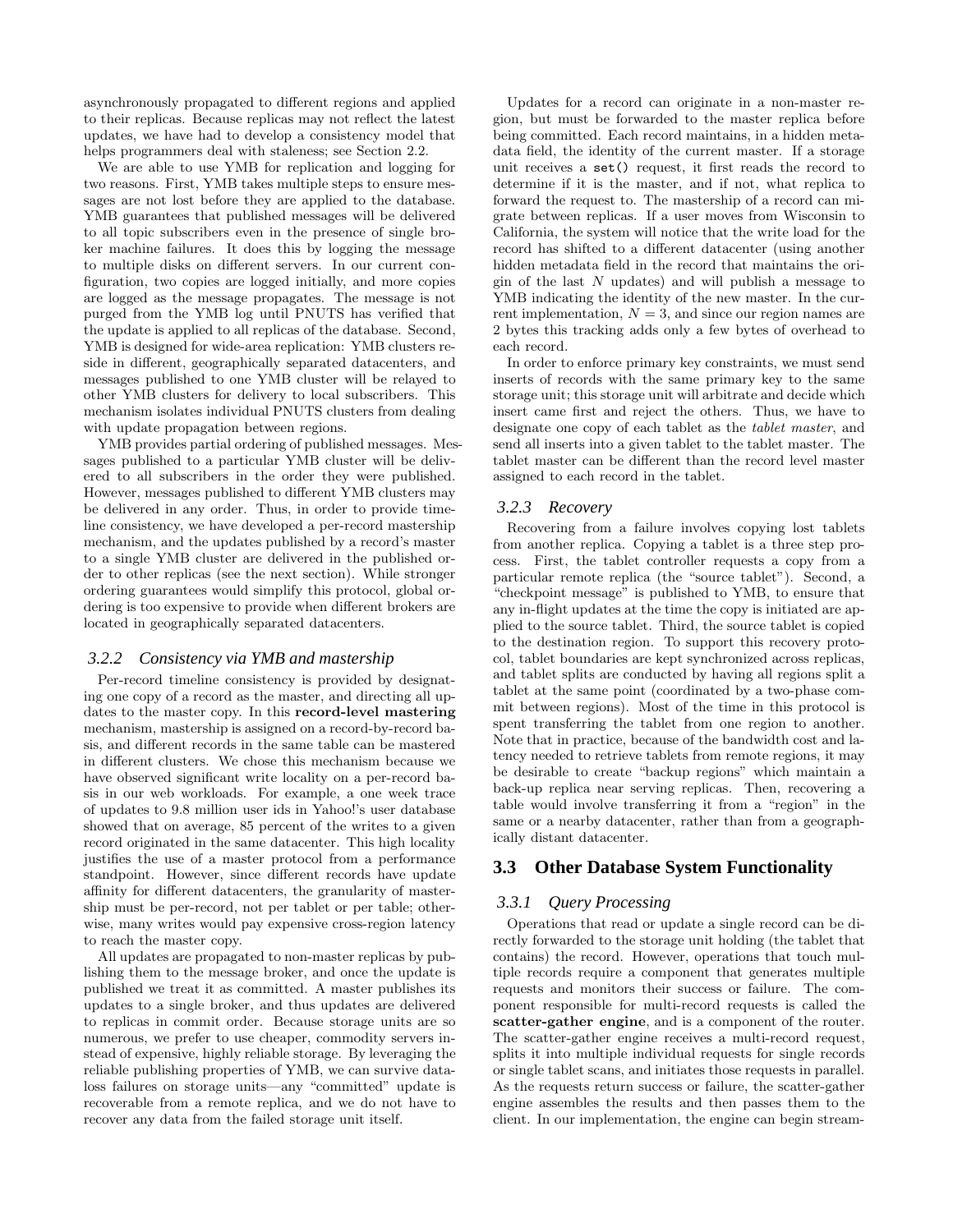asynchronously propagated to different regions and applied to their replicas. Because replicas may not reflect the latest updates, we have had to develop a consistency model that helps programmers deal with staleness; see Section 2.2.

We are able to use YMB for replication and logging for two reasons. First, YMB takes multiple steps to ensure messages are not lost before they are applied to the database. YMB guarantees that published messages will be delivered to all topic subscribers even in the presence of single broker machine failures. It does this by logging the message to multiple disks on different servers. In our current configuration, two copies are logged initially, and more copies are logged as the message propagates. The message is not purged from the YMB log until PNUTS has verified that the update is applied to all replicas of the database. Second, YMB is designed for wide-area replication: YMB clusters reside in different, geographically separated datacenters, and messages published to one YMB cluster will be relayed to other YMB clusters for delivery to local subscribers. This mechanism isolates individual PNUTS clusters from dealing with update propagation between regions.

YMB provides partial ordering of published messages. Messages published to a particular YMB cluster will be delivered to all subscribers in the order they were published. However, messages published to different YMB clusters may be delivered in any order. Thus, in order to provide timeline consistency, we have developed a per-record mastership mechanism, and the updates published by a record's master to a single YMB cluster are delivered in the published order to other replicas (see the next section). While stronger ordering guarantees would simplify this protocol, global ordering is too expensive to provide when different brokers are located in geographically separated datacenters.

#### *3.2.2 Consistency via YMB and mastership*

Per-record timeline consistency is provided by designating one copy of a record as the master, and directing all updates to the master copy. In this record-level mastering mechanism, mastership is assigned on a record-by-record basis, and different records in the same table can be mastered in different clusters. We chose this mechanism because we have observed significant write locality on a per-record basis in our web workloads. For example, a one week trace of updates to 9.8 million user ids in Yahoo!'s user database showed that on average, 85 percent of the writes to a given record originated in the same datacenter. This high locality justifies the use of a master protocol from a performance standpoint. However, since different records have update affinity for different datacenters, the granularity of mastership must be per-record, not per tablet or per table; otherwise, many writes would pay expensive cross-region latency to reach the master copy.

All updates are propagated to non-master replicas by publishing them to the message broker, and once the update is published we treat it as committed. A master publishes its updates to a single broker, and thus updates are delivered to replicas in commit order. Because storage units are so numerous, we prefer to use cheaper, commodity servers instead of expensive, highly reliable storage. By leveraging the reliable publishing properties of YMB, we can survive dataloss failures on storage units—any "committed" update is recoverable from a remote replica, and we do not have to recover any data from the failed storage unit itself.

Updates for a record can originate in a non-master region, but must be forwarded to the master replica before being committed. Each record maintains, in a hidden metadata field, the identity of the current master. If a storage unit receives a set() request, it first reads the record to determine if it is the master, and if not, what replica to forward the request to. The mastership of a record can migrate between replicas. If a user moves from Wisconsin to California, the system will notice that the write load for the record has shifted to a different datacenter (using another hidden metadata field in the record that maintains the origin of the last  $N$  updates) and will publish a message to YMB indicating the identity of the new master. In the current implementation,  $N = 3$ , and since our region names are 2 bytes this tracking adds only a few bytes of overhead to each record.

In order to enforce primary key constraints, we must send inserts of records with the same primary key to the same storage unit; this storage unit will arbitrate and decide which insert came first and reject the others. Thus, we have to designate one copy of each tablet as the tablet master, and send all inserts into a given tablet to the tablet master. The tablet master can be different than the record level master assigned to each record in the tablet.

#### *3.2.3 Recovery*

Recovering from a failure involves copying lost tablets from another replica. Copying a tablet is a three step process. First, the tablet controller requests a copy from a particular remote replica (the "source tablet"). Second, a "checkpoint message" is published to YMB, to ensure that any in-flight updates at the time the copy is initiated are applied to the source tablet. Third, the source tablet is copied to the destination region. To support this recovery protocol, tablet boundaries are kept synchronized across replicas, and tablet splits are conducted by having all regions split a tablet at the same point (coordinated by a two-phase commit between regions). Most of the time in this protocol is spent transferring the tablet from one region to another. Note that in practice, because of the bandwidth cost and latency needed to retrieve tablets from remote regions, it may be desirable to create "backup regions" which maintain a back-up replica near serving replicas. Then, recovering a table would involve transferring it from a "region" in the same or a nearby datacenter, rather than from a geographically distant datacenter.

#### **3.3 Other Database System Functionality**

#### *3.3.1 Query Processing*

Operations that read or update a single record can be directly forwarded to the storage unit holding (the tablet that contains) the record. However, operations that touch multiple records require a component that generates multiple requests and monitors their success or failure. The component responsible for multi-record requests is called the scatter-gather engine, and is a component of the router. The scatter-gather engine receives a multi-record request, splits it into multiple individual requests for single records or single tablet scans, and initiates those requests in parallel. As the requests return success or failure, the scatter-gather engine assembles the results and then passes them to the client. In our implementation, the engine can begin stream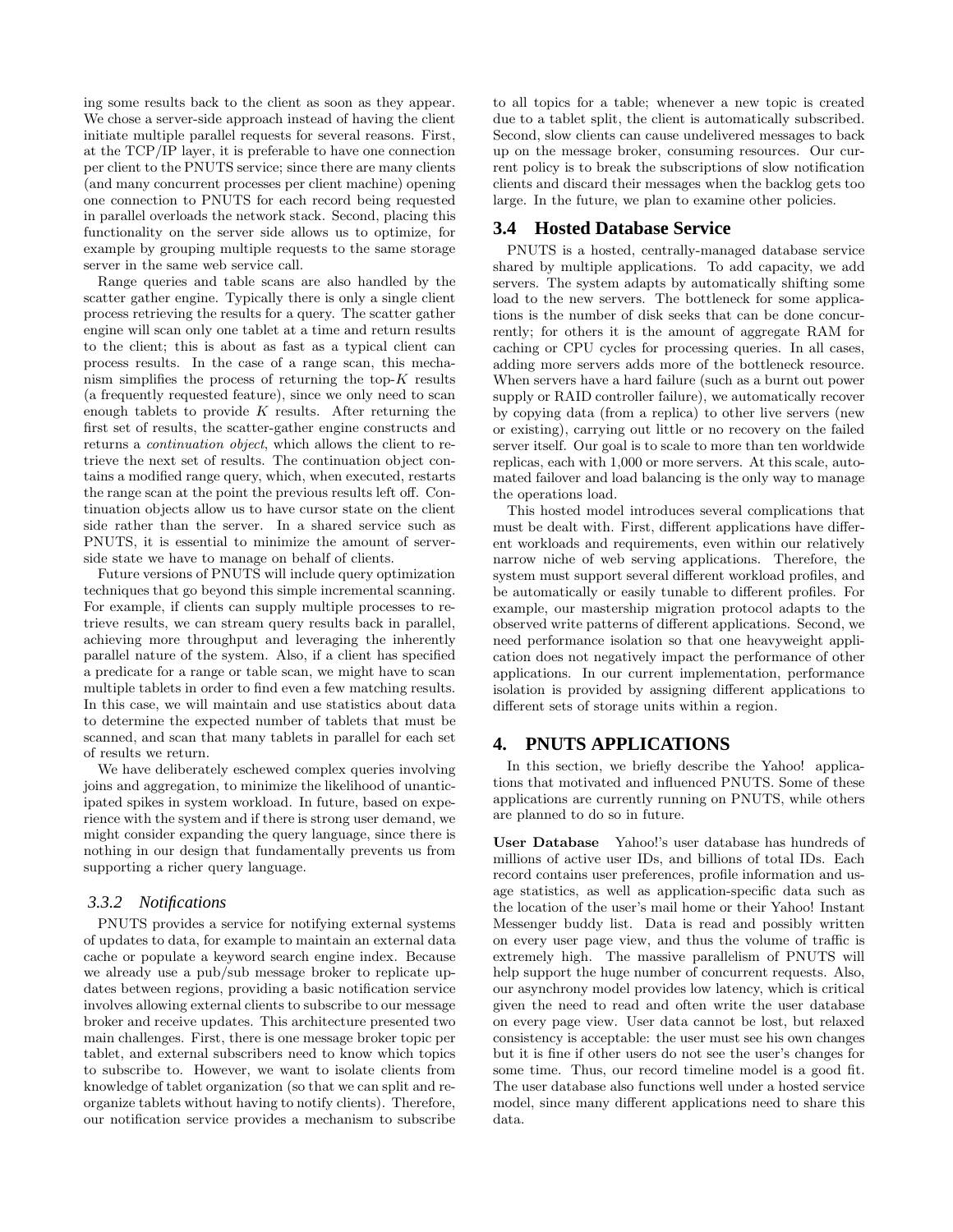ing some results back to the client as soon as they appear. We chose a server-side approach instead of having the client initiate multiple parallel requests for several reasons. First, at the TCP/IP layer, it is preferable to have one connection per client to the PNUTS service; since there are many clients (and many concurrent processes per client machine) opening one connection to PNUTS for each record being requested in parallel overloads the network stack. Second, placing this functionality on the server side allows us to optimize, for example by grouping multiple requests to the same storage server in the same web service call.

Range queries and table scans are also handled by the scatter gather engine. Typically there is only a single client process retrieving the results for a query. The scatter gather engine will scan only one tablet at a time and return results to the client; this is about as fast as a typical client can process results. In the case of a range scan, this mechanism simplifies the process of returning the top- $K$  results (a frequently requested feature), since we only need to scan enough tablets to provide  $K$  results. After returning the first set of results, the scatter-gather engine constructs and returns a continuation object, which allows the client to retrieve the next set of results. The continuation object contains a modified range query, which, when executed, restarts the range scan at the point the previous results left off. Continuation objects allow us to have cursor state on the client side rather than the server. In a shared service such as PNUTS, it is essential to minimize the amount of serverside state we have to manage on behalf of clients.

Future versions of PNUTS will include query optimization techniques that go beyond this simple incremental scanning. For example, if clients can supply multiple processes to retrieve results, we can stream query results back in parallel, achieving more throughput and leveraging the inherently parallel nature of the system. Also, if a client has specified a predicate for a range or table scan, we might have to scan multiple tablets in order to find even a few matching results. In this case, we will maintain and use statistics about data to determine the expected number of tablets that must be scanned, and scan that many tablets in parallel for each set of results we return.

We have deliberately eschewed complex queries involving joins and aggregation, to minimize the likelihood of unanticipated spikes in system workload. In future, based on experience with the system and if there is strong user demand, we might consider expanding the query language, since there is nothing in our design that fundamentally prevents us from supporting a richer query language.

#### *3.3.2 Notifications*

PNUTS provides a service for notifying external systems of updates to data, for example to maintain an external data cache or populate a keyword search engine index. Because we already use a pub/sub message broker to replicate updates between regions, providing a basic notification service involves allowing external clients to subscribe to our message broker and receive updates. This architecture presented two main challenges. First, there is one message broker topic per tablet, and external subscribers need to know which topics to subscribe to. However, we want to isolate clients from knowledge of tablet organization (so that we can split and reorganize tablets without having to notify clients). Therefore, our notification service provides a mechanism to subscribe

to all topics for a table; whenever a new topic is created due to a tablet split, the client is automatically subscribed. Second, slow clients can cause undelivered messages to back up on the message broker, consuming resources. Our current policy is to break the subscriptions of slow notification clients and discard their messages when the backlog gets too large. In the future, we plan to examine other policies.

### **3.4 Hosted Database Service**

PNUTS is a hosted, centrally-managed database service shared by multiple applications. To add capacity, we add servers. The system adapts by automatically shifting some load to the new servers. The bottleneck for some applications is the number of disk seeks that can be done concurrently; for others it is the amount of aggregate RAM for caching or CPU cycles for processing queries. In all cases, adding more servers adds more of the bottleneck resource. When servers have a hard failure (such as a burnt out power supply or RAID controller failure), we automatically recover by copying data (from a replica) to other live servers (new or existing), carrying out little or no recovery on the failed server itself. Our goal is to scale to more than ten worldwide replicas, each with 1,000 or more servers. At this scale, automated failover and load balancing is the only way to manage the operations load.

This hosted model introduces several complications that must be dealt with. First, different applications have different workloads and requirements, even within our relatively narrow niche of web serving applications. Therefore, the system must support several different workload profiles, and be automatically or easily tunable to different profiles. For example, our mastership migration protocol adapts to the observed write patterns of different applications. Second, we need performance isolation so that one heavyweight application does not negatively impact the performance of other applications. In our current implementation, performance isolation is provided by assigning different applications to different sets of storage units within a region.

# **4. PNUTS APPLICATIONS**

In this section, we briefly describe the Yahoo! applications that motivated and influenced PNUTS. Some of these applications are currently running on PNUTS, while others are planned to do so in future.

User Database Yahoo!'s user database has hundreds of millions of active user IDs, and billions of total IDs. Each record contains user preferences, profile information and usage statistics, as well as application-specific data such as the location of the user's mail home or their Yahoo! Instant Messenger buddy list. Data is read and possibly written on every user page view, and thus the volume of traffic is extremely high. The massive parallelism of PNUTS will help support the huge number of concurrent requests. Also, our asynchrony model provides low latency, which is critical given the need to read and often write the user database on every page view. User data cannot be lost, but relaxed consistency is acceptable: the user must see his own changes but it is fine if other users do not see the user's changes for some time. Thus, our record timeline model is a good fit. The user database also functions well under a hosted service model, since many different applications need to share this data.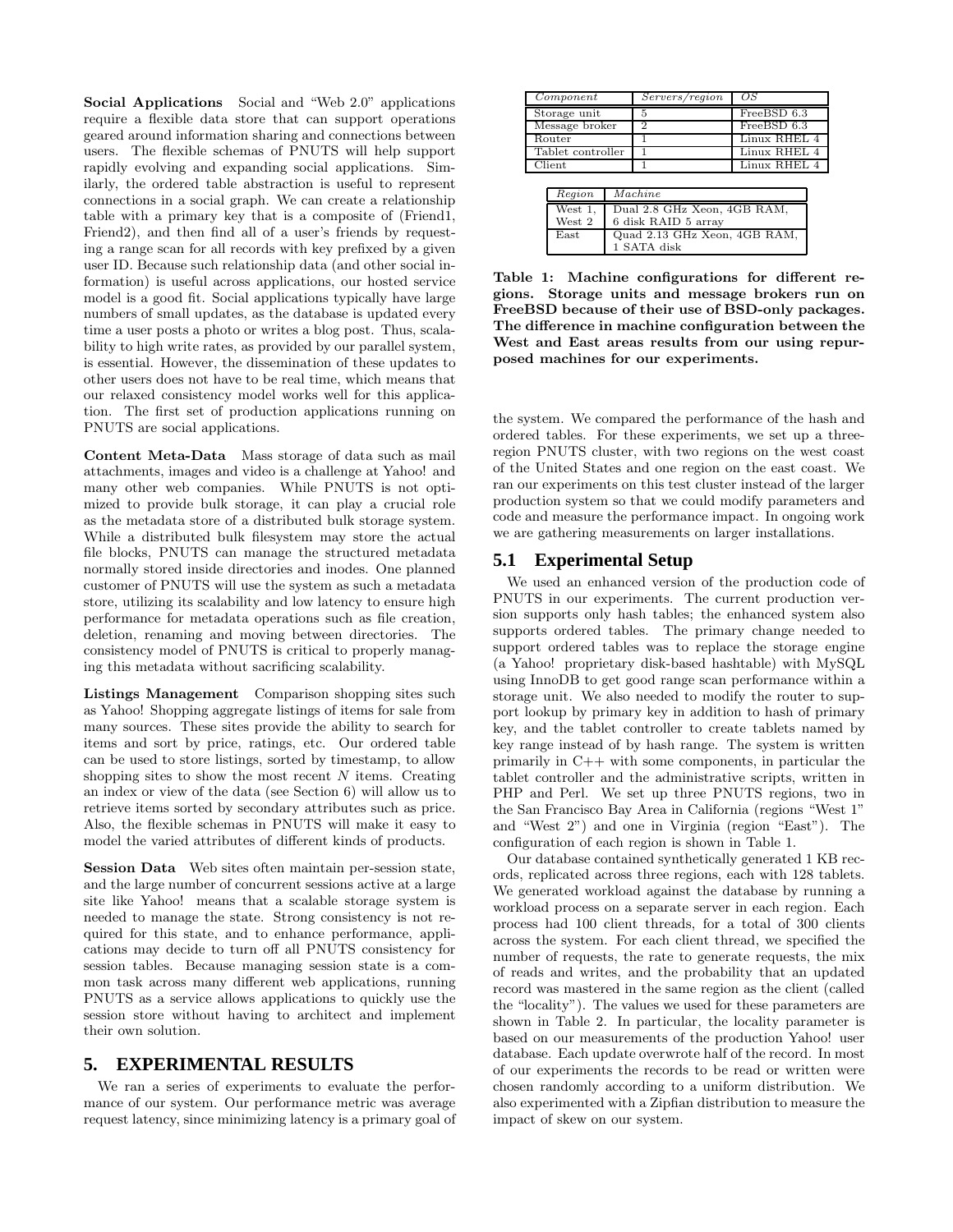Social Applications Social and "Web 2.0" applications require a flexible data store that can support operations geared around information sharing and connections between users. The flexible schemas of PNUTS will help support rapidly evolving and expanding social applications. Similarly, the ordered table abstraction is useful to represent connections in a social graph. We can create a relationship table with a primary key that is a composite of (Friend1, Friend2), and then find all of a user's friends by requesting a range scan for all records with key prefixed by a given user ID. Because such relationship data (and other social information) is useful across applications, our hosted service model is a good fit. Social applications typically have large numbers of small updates, as the database is updated every time a user posts a photo or writes a blog post. Thus, scalability to high write rates, as provided by our parallel system, is essential. However, the dissemination of these updates to other users does not have to be real time, which means that our relaxed consistency model works well for this application. The first set of production applications running on PNUTS are social applications.

Content Meta-Data Mass storage of data such as mail attachments, images and video is a challenge at Yahoo! and many other web companies. While PNUTS is not optimized to provide bulk storage, it can play a crucial role as the metadata store of a distributed bulk storage system. While a distributed bulk filesystem may store the actual file blocks, PNUTS can manage the structured metadata normally stored inside directories and inodes. One planned customer of PNUTS will use the system as such a metadata store, utilizing its scalability and low latency to ensure high performance for metadata operations such as file creation, deletion, renaming and moving between directories. The consistency model of PNUTS is critical to properly managing this metadata without sacrificing scalability.

Listings Management Comparison shopping sites such as Yahoo! Shopping aggregate listings of items for sale from many sources. These sites provide the ability to search for items and sort by price, ratings, etc. Our ordered table can be used to store listings, sorted by timestamp, to allow shopping sites to show the most recent  $N$  items. Creating an index or view of the data (see Section 6) will allow us to retrieve items sorted by secondary attributes such as price. Also, the flexible schemas in PNUTS will make it easy to model the varied attributes of different kinds of products.

Session Data Web sites often maintain per-session state, and the large number of concurrent sessions active at a large site like Yahoo! means that a scalable storage system is needed to manage the state. Strong consistency is not required for this state, and to enhance performance, applications may decide to turn off all PNUTS consistency for session tables. Because managing session state is a common task across many different web applications, running PNUTS as a service allows applications to quickly use the session store without having to architect and implement their own solution.

# **5. EXPERIMENTAL RESULTS**

We ran a series of experiments to evaluate the performance of our system. Our performance metric was average request latency, since minimizing latency is a primary goal of

| Component         | Servers/region               | OS           |  |
|-------------------|------------------------------|--------------|--|
| Storage unit      | 5                            | FreeBSD 6.3  |  |
| Message broker    | $\overline{2}$               | FreeBSD 6.3  |  |
| Router            |                              | Linux RHEL 4 |  |
| Tablet controller |                              | Linux RHEL 4 |  |
| Client            |                              | Linux RHEL 4 |  |
|                   |                              |              |  |
| Region            | Machine                      |              |  |
| West 1.           | Dual 2.8 GHz Xeon, 4GB RAM,  |              |  |
| West 2            | 6 disk RAID 5 array          |              |  |
| <b>East</b>       | Quad 2.13 GHz Xeon, 4GB RAM, |              |  |
|                   | 1 SATA disk                  |              |  |

Table 1: Machine configurations for different regions. Storage units and message brokers run on FreeBSD because of their use of BSD-only packages. The difference in machine configuration between the West and East areas results from our using repurposed machines for our experiments.

the system. We compared the performance of the hash and ordered tables. For these experiments, we set up a threeregion PNUTS cluster, with two regions on the west coast of the United States and one region on the east coast. We ran our experiments on this test cluster instead of the larger production system so that we could modify parameters and code and measure the performance impact. In ongoing work we are gathering measurements on larger installations.

#### **5.1 Experimental Setup**

We used an enhanced version of the production code of PNUTS in our experiments. The current production version supports only hash tables; the enhanced system also supports ordered tables. The primary change needed to support ordered tables was to replace the storage engine (a Yahoo! proprietary disk-based hashtable) with MySQL using InnoDB to get good range scan performance within a storage unit. We also needed to modify the router to support lookup by primary key in addition to hash of primary key, and the tablet controller to create tablets named by key range instead of by hash range. The system is written primarily in C++ with some components, in particular the tablet controller and the administrative scripts, written in PHP and Perl. We set up three PNUTS regions, two in the San Francisco Bay Area in California (regions "West 1" and "West 2") and one in Virginia (region "East"). The configuration of each region is shown in Table 1.

Our database contained synthetically generated 1 KB records, replicated across three regions, each with 128 tablets. We generated workload against the database by running a workload process on a separate server in each region. Each process had 100 client threads, for a total of 300 clients across the system. For each client thread, we specified the number of requests, the rate to generate requests, the mix of reads and writes, and the probability that an updated record was mastered in the same region as the client (called the "locality"). The values we used for these parameters are shown in Table 2. In particular, the locality parameter is based on our measurements of the production Yahoo! user database. Each update overwrote half of the record. In most of our experiments the records to be read or written were chosen randomly according to a uniform distribution. We also experimented with a Zipfian distribution to measure the impact of skew on our system.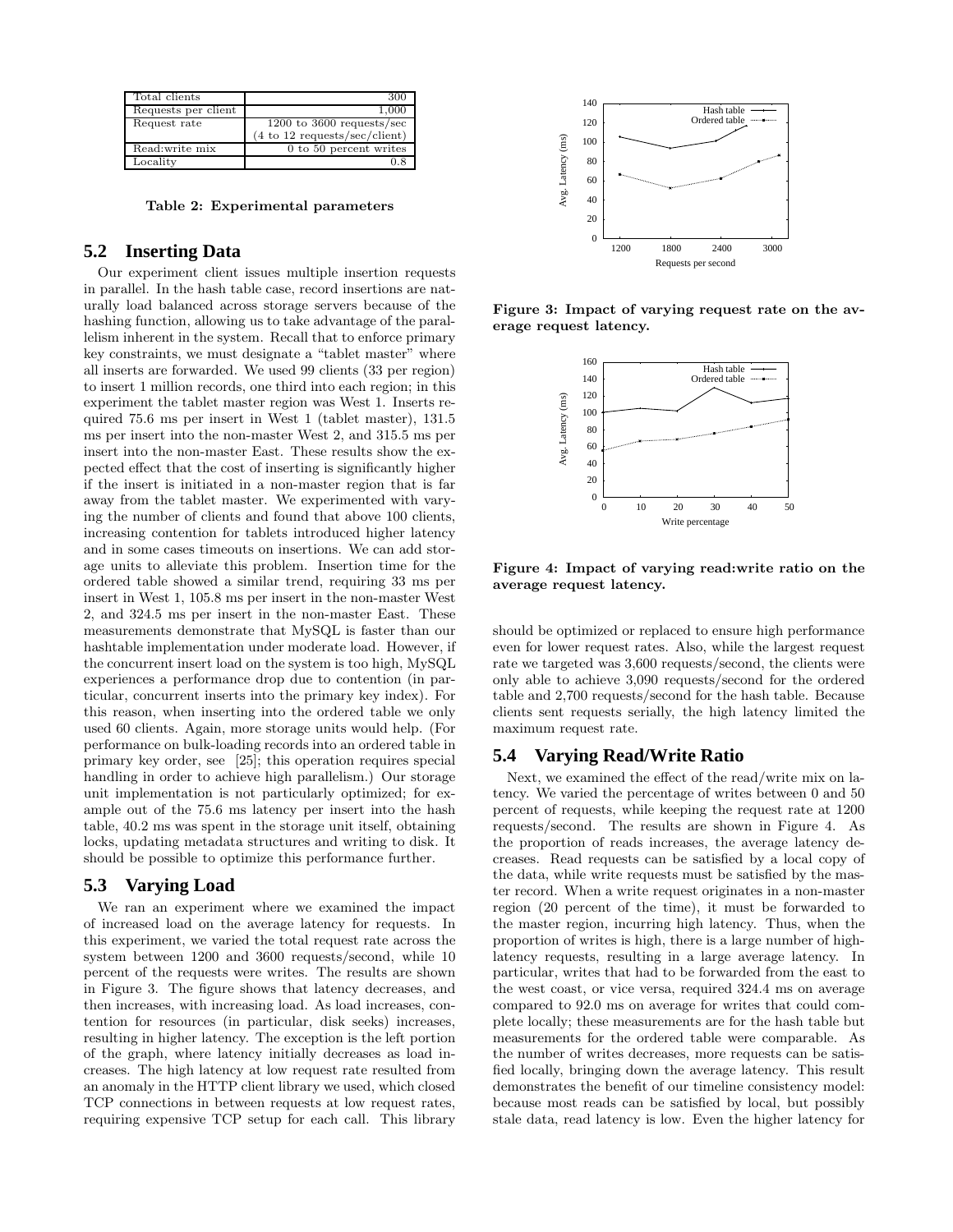| Total clients       | 300                                              |
|---------------------|--------------------------------------------------|
| Requests per client | 1.000                                            |
| Request rate        | 1200 to 3600 requests/sec                        |
|                     | $(4 \text{ to } 12 \text{ requests/sec/client})$ |
| Read:write mix      | 0 to 50 percent writes                           |
| Locality            |                                                  |

Table 2: Experimental parameters

# **5.2 Inserting Data**

Our experiment client issues multiple insertion requests in parallel. In the hash table case, record insertions are naturally load balanced across storage servers because of the hashing function, allowing us to take advantage of the parallelism inherent in the system. Recall that to enforce primary key constraints, we must designate a "tablet master" where all inserts are forwarded. We used 99 clients (33 per region) to insert 1 million records, one third into each region; in this experiment the tablet master region was West 1. Inserts required 75.6 ms per insert in West 1 (tablet master), 131.5 ms per insert into the non-master West 2, and 315.5 ms per insert into the non-master East. These results show the expected effect that the cost of inserting is significantly higher if the insert is initiated in a non-master region that is far away from the tablet master. We experimented with varying the number of clients and found that above 100 clients, increasing contention for tablets introduced higher latency and in some cases timeouts on insertions. We can add storage units to alleviate this problem. Insertion time for the ordered table showed a similar trend, requiring 33 ms per insert in West 1, 105.8 ms per insert in the non-master West 2, and 324.5 ms per insert in the non-master East. These measurements demonstrate that MySQL is faster than our hashtable implementation under moderate load. However, if the concurrent insert load on the system is too high, MySQL experiences a performance drop due to contention (in particular, concurrent inserts into the primary key index). For this reason, when inserting into the ordered table we only used 60 clients. Again, more storage units would help. (For performance on bulk-loading records into an ordered table in primary key order, see [25]; this operation requires special handling in order to achieve high parallelism.) Our storage unit implementation is not particularly optimized; for example out of the 75.6 ms latency per insert into the hash table, 40.2 ms was spent in the storage unit itself, obtaining locks, updating metadata structures and writing to disk. It should be possible to optimize this performance further.

# **5.3 Varying Load**

We ran an experiment where we examined the impact of increased load on the average latency for requests. In this experiment, we varied the total request rate across the system between 1200 and 3600 requests/second, while 10 percent of the requests were writes. The results are shown in Figure 3. The figure shows that latency decreases, and then increases, with increasing load. As load increases, contention for resources (in particular, disk seeks) increases, resulting in higher latency. The exception is the left portion of the graph, where latency initially decreases as load increases. The high latency at low request rate resulted from an anomaly in the HTTP client library we used, which closed TCP connections in between requests at low request rates, requiring expensive TCP setup for each call. This library



Figure 3: Impact of varying request rate on the average request latency.



Figure 4: Impact of varying read:write ratio on the average request latency.

should be optimized or replaced to ensure high performance even for lower request rates. Also, while the largest request rate we targeted was 3,600 requests/second, the clients were only able to achieve 3,090 requests/second for the ordered table and 2,700 requests/second for the hash table. Because clients sent requests serially, the high latency limited the maximum request rate.

# **5.4 Varying Read/Write Ratio**

Next, we examined the effect of the read/write mix on latency. We varied the percentage of writes between 0 and 50 percent of requests, while keeping the request rate at 1200 requests/second. The results are shown in Figure 4. As the proportion of reads increases, the average latency decreases. Read requests can be satisfied by a local copy of the data, while write requests must be satisfied by the master record. When a write request originates in a non-master region (20 percent of the time), it must be forwarded to the master region, incurring high latency. Thus, when the proportion of writes is high, there is a large number of highlatency requests, resulting in a large average latency. In particular, writes that had to be forwarded from the east to the west coast, or vice versa, required 324.4 ms on average compared to 92.0 ms on average for writes that could complete locally; these measurements are for the hash table but measurements for the ordered table were comparable. As the number of writes decreases, more requests can be satisfied locally, bringing down the average latency. This result demonstrates the benefit of our timeline consistency model: because most reads can be satisfied by local, but possibly stale data, read latency is low. Even the higher latency for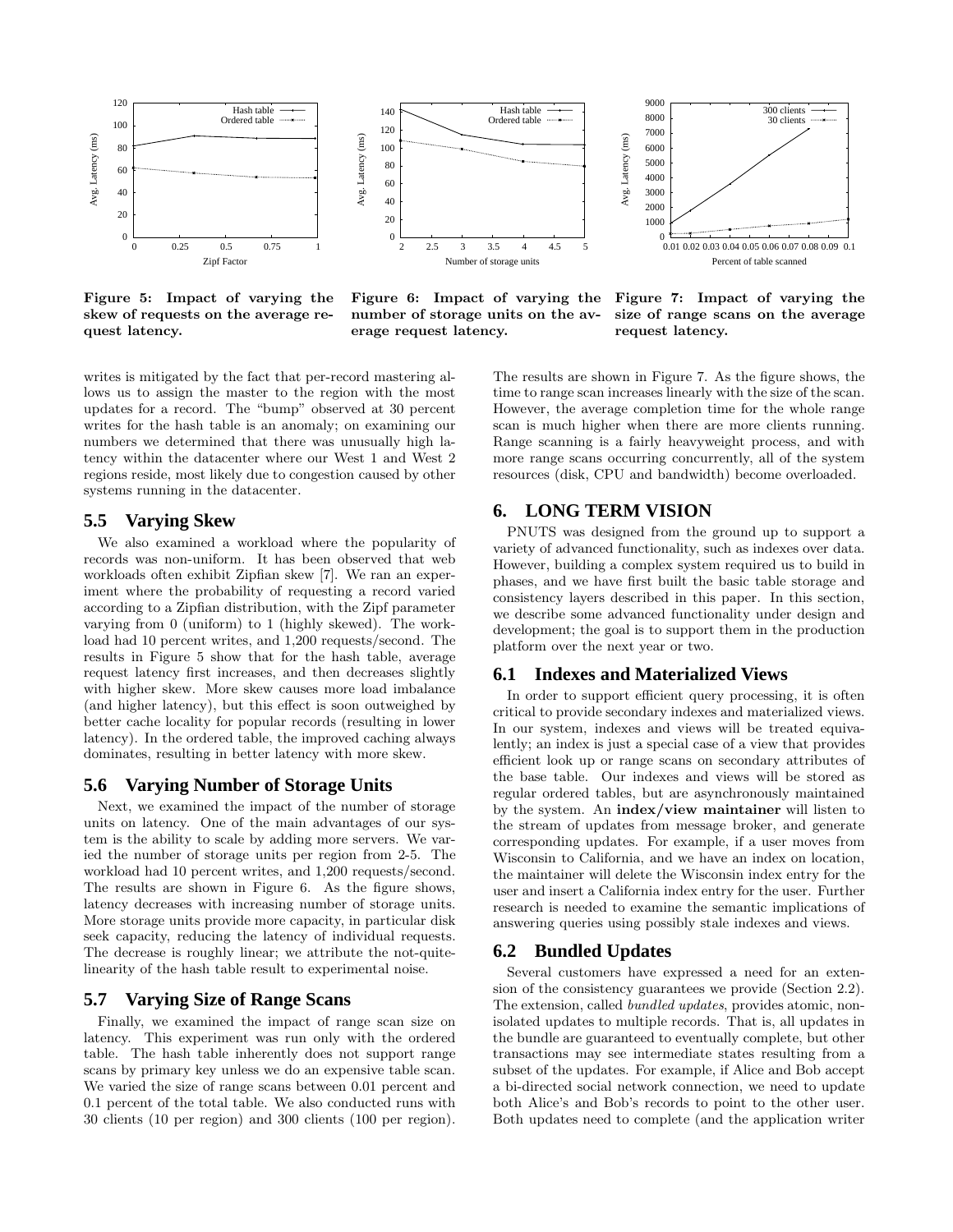

Figure 5: Impact of varying the skew of requests on the average request latency.



number of storage units on the average request latency.

 $\overline{0}$ 1000 2000 3000 4000 5000 6000 7000 8000 9000 0.01 0.02 0.03 0.04 0.05 0.06 0.07 0.08 0.09 0.1 Avg. Latency (ms) Percent of table scanned 300 clients 30 clients

Figure 6: Impact of varying the Figure 7: Impact of varying the size of range scans on the average request latency.

writes is mitigated by the fact that per-record mastering allows us to assign the master to the region with the most updates for a record. The "bump" observed at 30 percent writes for the hash table is an anomaly; on examining our numbers we determined that there was unusually high latency within the datacenter where our West 1 and West 2 regions reside, most likely due to congestion caused by other systems running in the datacenter.

# **5.5 Varying Skew**

We also examined a workload where the popularity of records was non-uniform. It has been observed that web workloads often exhibit Zipfian skew [7]. We ran an experiment where the probability of requesting a record varied according to a Zipfian distribution, with the Zipf parameter varying from 0 (uniform) to 1 (highly skewed). The workload had 10 percent writes, and 1,200 requests/second. The results in Figure 5 show that for the hash table, average request latency first increases, and then decreases slightly with higher skew. More skew causes more load imbalance (and higher latency), but this effect is soon outweighed by better cache locality for popular records (resulting in lower latency). In the ordered table, the improved caching always dominates, resulting in better latency with more skew.

# **5.6 Varying Number of Storage Units**

Next, we examined the impact of the number of storage units on latency. One of the main advantages of our system is the ability to scale by adding more servers. We varied the number of storage units per region from 2-5. The workload had 10 percent writes, and 1,200 requests/second. The results are shown in Figure 6. As the figure shows, latency decreases with increasing number of storage units. More storage units provide more capacity, in particular disk seek capacity, reducing the latency of individual requests. The decrease is roughly linear; we attribute the not-quitelinearity of the hash table result to experimental noise.

# **5.7 Varying Size of Range Scans**

Finally, we examined the impact of range scan size on latency. This experiment was run only with the ordered table. The hash table inherently does not support range scans by primary key unless we do an expensive table scan. We varied the size of range scans between 0.01 percent and 0.1 percent of the total table. We also conducted runs with 30 clients (10 per region) and 300 clients (100 per region).

The results are shown in Figure 7. As the figure shows, the time to range scan increases linearly with the size of the scan. However, the average completion time for the whole range scan is much higher when there are more clients running. Range scanning is a fairly heavyweight process, and with more range scans occurring concurrently, all of the system resources (disk, CPU and bandwidth) become overloaded.

# **6. LONG TERM VISION**

PNUTS was designed from the ground up to support a variety of advanced functionality, such as indexes over data. However, building a complex system required us to build in phases, and we have first built the basic table storage and consistency layers described in this paper. In this section, we describe some advanced functionality under design and development; the goal is to support them in the production platform over the next year or two.

# **6.1 Indexes and Materialized Views**

In order to support efficient query processing, it is often critical to provide secondary indexes and materialized views. In our system, indexes and views will be treated equivalently; an index is just a special case of a view that provides efficient look up or range scans on secondary attributes of the base table. Our indexes and views will be stored as regular ordered tables, but are asynchronously maintained by the system. An index/view maintainer will listen to the stream of updates from message broker, and generate corresponding updates. For example, if a user moves from Wisconsin to California, and we have an index on location, the maintainer will delete the Wisconsin index entry for the user and insert a California index entry for the user. Further research is needed to examine the semantic implications of answering queries using possibly stale indexes and views.

# **6.2 Bundled Updates**

Several customers have expressed a need for an extension of the consistency guarantees we provide (Section 2.2). The extension, called bundled updates, provides atomic, nonisolated updates to multiple records. That is, all updates in the bundle are guaranteed to eventually complete, but other transactions may see intermediate states resulting from a subset of the updates. For example, if Alice and Bob accept a bi-directed social network connection, we need to update both Alice's and Bob's records to point to the other user. Both updates need to complete (and the application writer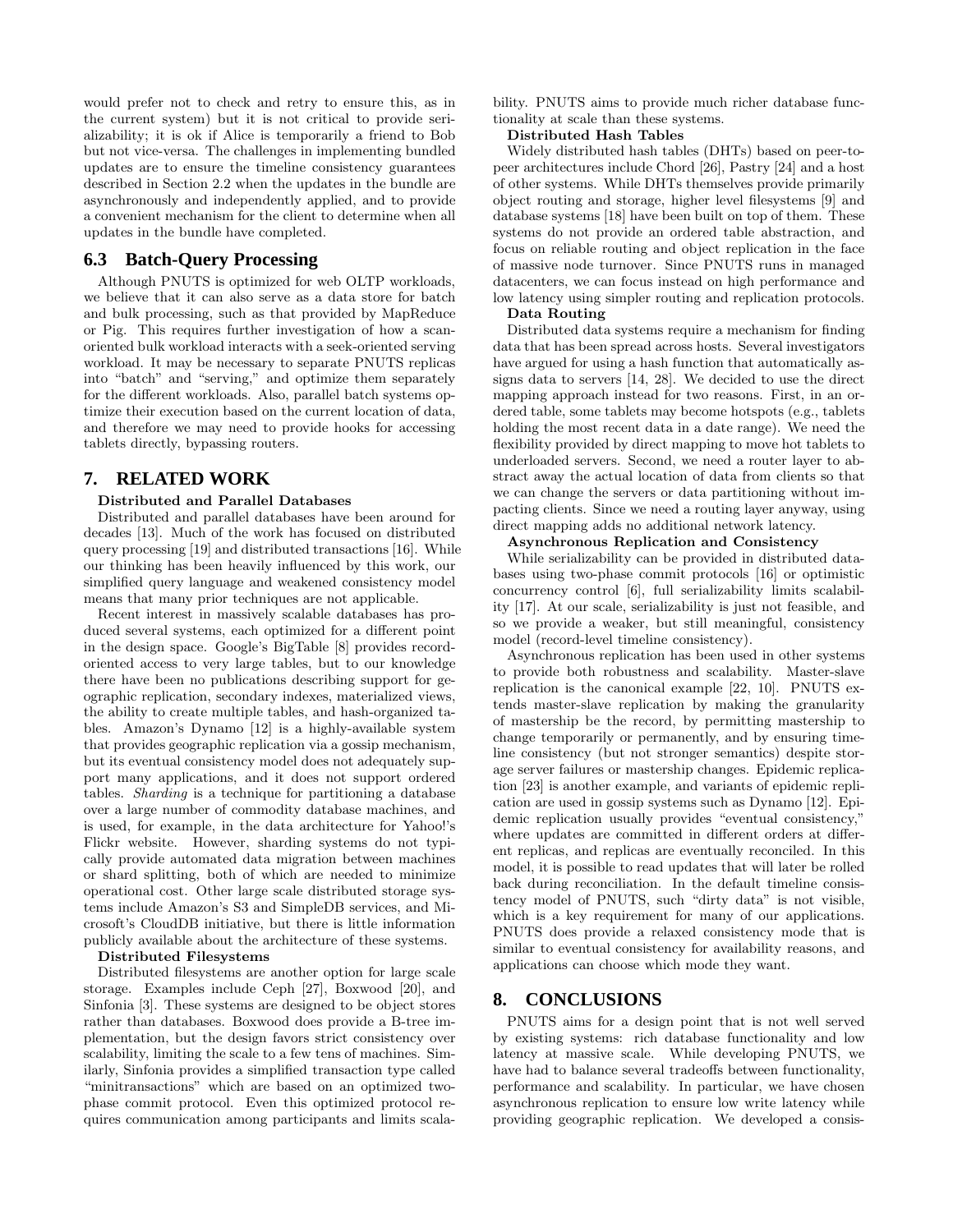would prefer not to check and retry to ensure this, as in the current system) but it is not critical to provide serializability; it is ok if Alice is temporarily a friend to Bob but not vice-versa. The challenges in implementing bundled updates are to ensure the timeline consistency guarantees described in Section 2.2 when the updates in the bundle are asynchronously and independently applied, and to provide a convenient mechanism for the client to determine when all updates in the bundle have completed.

# **6.3 Batch-Query Processing**

Although PNUTS is optimized for web OLTP workloads, we believe that it can also serve as a data store for batch and bulk processing, such as that provided by MapReduce or Pig. This requires further investigation of how a scanoriented bulk workload interacts with a seek-oriented serving workload. It may be necessary to separate PNUTS replicas into "batch" and "serving," and optimize them separately for the different workloads. Also, parallel batch systems optimize their execution based on the current location of data, and therefore we may need to provide hooks for accessing tablets directly, bypassing routers.

# **7. RELATED WORK**

#### Distributed and Parallel Databases

Distributed and parallel databases have been around for decades [13]. Much of the work has focused on distributed query processing [19] and distributed transactions [16]. While our thinking has been heavily influenced by this work, our simplified query language and weakened consistency model means that many prior techniques are not applicable.

Recent interest in massively scalable databases has produced several systems, each optimized for a different point in the design space. Google's BigTable [8] provides recordoriented access to very large tables, but to our knowledge there have been no publications describing support for geographic replication, secondary indexes, materialized views, the ability to create multiple tables, and hash-organized tables. Amazon's Dynamo [12] is a highly-available system that provides geographic replication via a gossip mechanism, but its eventual consistency model does not adequately support many applications, and it does not support ordered tables. Sharding is a technique for partitioning a database over a large number of commodity database machines, and is used, for example, in the data architecture for Yahoo!'s Flickr website. However, sharding systems do not typically provide automated data migration between machines or shard splitting, both of which are needed to minimize operational cost. Other large scale distributed storage systems include Amazon's S3 and SimpleDB services, and Microsoft's CloudDB initiative, but there is little information publicly available about the architecture of these systems.

#### Distributed Filesystems

Distributed filesystems are another option for large scale storage. Examples include Ceph [27], Boxwood [20], and Sinfonia [3]. These systems are designed to be object stores rather than databases. Boxwood does provide a B-tree implementation, but the design favors strict consistency over scalability, limiting the scale to a few tens of machines. Similarly, Sinfonia provides a simplified transaction type called "minitransactions" which are based on an optimized twophase commit protocol. Even this optimized protocol requires communication among participants and limits scalability. PNUTS aims to provide much richer database functionality at scale than these systems.

#### Distributed Hash Tables

Widely distributed hash tables (DHTs) based on peer-topeer architectures include Chord [26], Pastry [24] and a host of other systems. While DHTs themselves provide primarily object routing and storage, higher level filesystems [9] and database systems [18] have been built on top of them. These systems do not provide an ordered table abstraction, and focus on reliable routing and object replication in the face of massive node turnover. Since PNUTS runs in managed datacenters, we can focus instead on high performance and low latency using simpler routing and replication protocols. Data Routing

Distributed data systems require a mechanism for finding data that has been spread across hosts. Several investigators have argued for using a hash function that automatically assigns data to servers [14, 28]. We decided to use the direct mapping approach instead for two reasons. First, in an ordered table, some tablets may become hotspots (e.g., tablets holding the most recent data in a date range). We need the flexibility provided by direct mapping to move hot tablets to underloaded servers. Second, we need a router layer to abstract away the actual location of data from clients so that we can change the servers or data partitioning without impacting clients. Since we need a routing layer anyway, using direct mapping adds no additional network latency.

#### Asynchronous Replication and Consistency

While serializability can be provided in distributed databases using two-phase commit protocols [16] or optimistic concurrency control [6], full serializability limits scalability [17]. At our scale, serializability is just not feasible, and so we provide a weaker, but still meaningful, consistency model (record-level timeline consistency).

Asynchronous replication has been used in other systems to provide both robustness and scalability. Master-slave replication is the canonical example [22, 10]. PNUTS extends master-slave replication by making the granularity of mastership be the record, by permitting mastership to change temporarily or permanently, and by ensuring timeline consistency (but not stronger semantics) despite storage server failures or mastership changes. Epidemic replication [23] is another example, and variants of epidemic replication are used in gossip systems such as Dynamo [12]. Epidemic replication usually provides "eventual consistency," where updates are committed in different orders at different replicas, and replicas are eventually reconciled. In this model, it is possible to read updates that will later be rolled back during reconciliation. In the default timeline consistency model of PNUTS, such "dirty data" is not visible, which is a key requirement for many of our applications. PNUTS does provide a relaxed consistency mode that is similar to eventual consistency for availability reasons, and applications can choose which mode they want.

# **8. CONCLUSIONS**

PNUTS aims for a design point that is not well served by existing systems: rich database functionality and low latency at massive scale. While developing PNUTS, we have had to balance several tradeoffs between functionality, performance and scalability. In particular, we have chosen asynchronous replication to ensure low write latency while providing geographic replication. We developed a consis